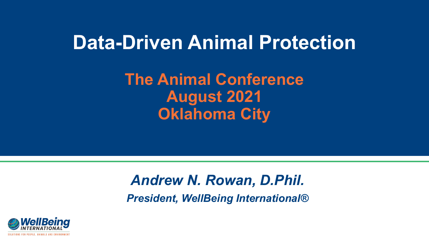## **Data-Driven Animal Protection**

**The Animal Conference August 2021 Oklahoma City**

### *Andrew N. Rowan, D.Phil. President, WellBeing International®*

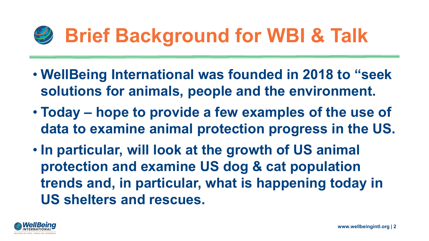# **Brief Background for WBI & Talk**

- **WellBeing International was founded in 2018 to "seek solutions for animals, people and the environment.**
- **Today – hope to provide a few examples of the use of data to examine animal protection progress in the US.**
- **In particular, will look at the growth of US animal protection and examine US dog & cat population trends and, in particular, what is happening today in US shelters and rescues.**

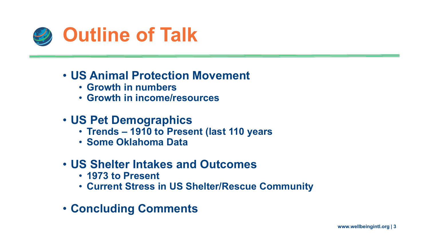

#### • **US Animal Protection Movement**

- **Growth in numbers**
- **Growth in income/resources**
- **US Pet Demographics**
	- **Trends – 1910 to Present (last 110 years**
	- **Some Oklahoma Data**

### • **US Shelter Intakes and Outcomes**

- **1973 to Present**
- **Current Stress in US Shelter/Rescue Community**
- **Concluding Comments**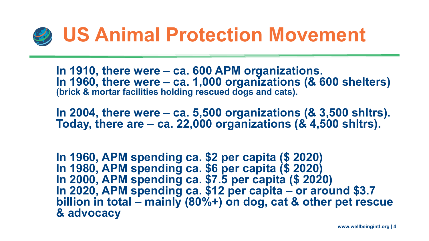

**In 1910, there were – ca. 600 APM organizations. In 1960, there were – ca. 1,000 organizations (& 600 shelters) (brick & mortar facilities holding rescued dogs and cats).**

**In 2004, there were – ca. 5,500 organizations (& 3,500 shltrs). Today, there are – ca. 22,000 organizations (& 4,500 shltrs).**

**In 1960, APM spending ca. \$2 per capita (\$ 2020) In 1980, APM spending ca. \$6 per capita (\$ 2020) In 2000, APM spending ca. \$7.5 per capita (\$ 2020) In 2020, APM spending ca. \$12 per capita – or around \$3.7 billion in total – mainly (80%+) on dog, cat & other pet rescue & advocacy**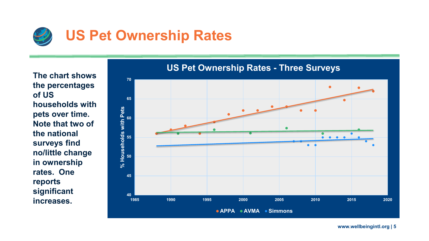![](_page_4_Picture_0.jpeg)

**The chart shows the percentages of US households with pets over time. Note that two of the national surveys find no/little change in ownership rates. One reports significant increases.** 

![](_page_4_Figure_2.jpeg)

#### **US Pet Ownership Rates - Three Surveys**

**www.wellbeingintl.org | 5**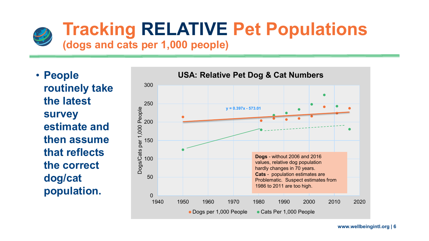![](_page_5_Picture_0.jpeg)

# **Tracking RELATIVE Pet Populations**

### **(dogs and cats per 1,000 people)**

• **People routinely take the latest survey estimate and then assume that reflects the correct dog/cat population.** 

![](_page_5_Figure_4.jpeg)

**www.wellbeingintl.org | 6**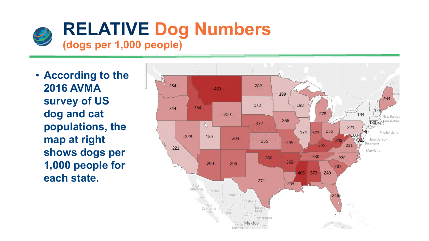![](_page_6_Picture_0.jpeg)

• **According to the 2016 AVMA survey of US dog and cat populations, the map at right shows dogs per 1,000 people for each state.**

![](_page_6_Figure_2.jpeg)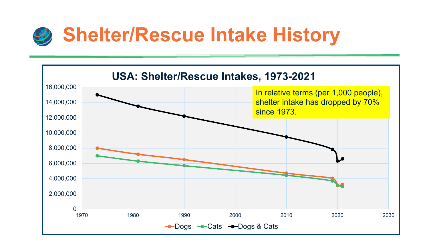![](_page_7_Picture_0.jpeg)

![](_page_7_Figure_1.jpeg)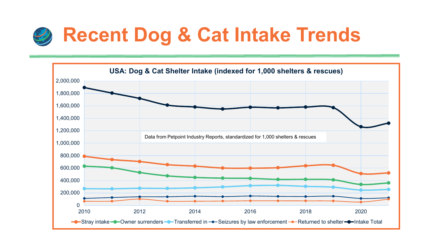![](_page_8_Picture_0.jpeg)

![](_page_8_Figure_1.jpeg)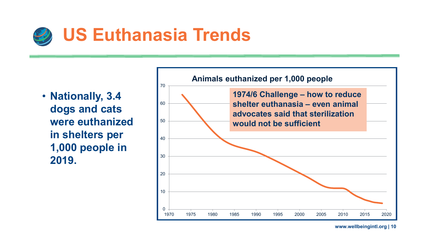![](_page_9_Picture_0.jpeg)

• **Nationally, 3.4 dogs and cats were euthanized in shelters per 1,000 people in 2019.** 

![](_page_9_Figure_2.jpeg)

**www.wellbeingintl.org | 10**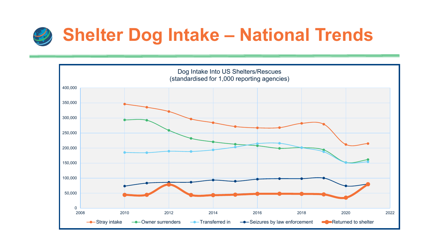![](_page_10_Picture_0.jpeg)

![](_page_10_Figure_1.jpeg)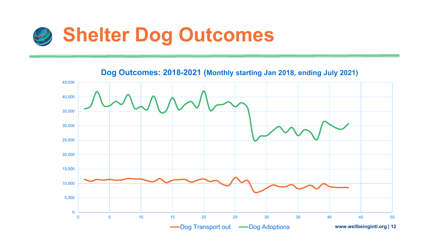![](_page_11_Picture_0.jpeg)

**www.wellbeingintl.org | 12** 0 5,000 10,000 15,000 20,000 25,000 30,000 35,000 40,000 45,000 0 5 10 15 20 25 30 35 40 45 50 **Dog Outcomes: 2018-2021 (Monthly starting Jan 2018, ending July 2021)** -Dog Transport out - Dog Adoptions